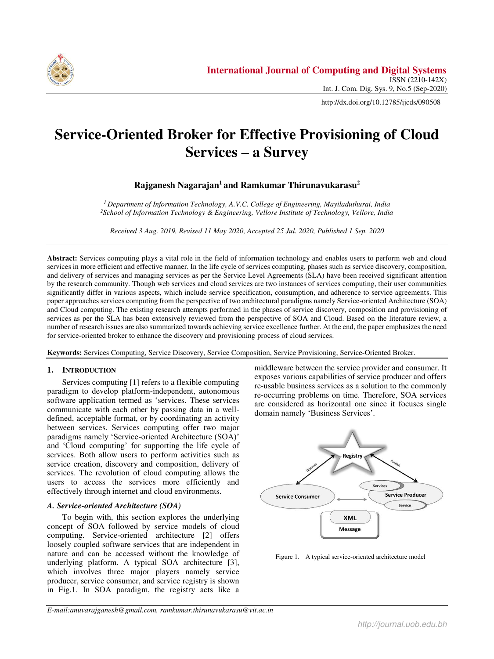

http://dx.doi.org/10.12785/ijcds/090508

# **Service-Oriented Broker for Effective Provisioning of Cloud Services – a Survey**

# **Rajganesh Nagarajan<sup>1</sup>and Ramkumar Thirunavukarasu<sup>2</sup>**

*<sup>1</sup>Department of Information Technology, A.V.C. College of Engineering, Mayiladuthurai, India <sup>2</sup>School of Information Technology & Engineering, Vellore Institute of Technology, Vellore, India* 

*Received 3 Aug. 2019, Revised 11 May 2020, Accepted 25 Jul. 2020, Published 1 Sep. 2020*

**Abstract:** Services computing plays a vital role in the field of information technology and enables users to perform web and cloud services in more efficient and effective manner. In the life cycle of services computing, phases such as service discovery, composition, and delivery of services and managing services as per the Service Level Agreements (SLA) have been received significant attention by the research community. Though web services and cloud services are two instances of services computing, their user communities significantly differ in various aspects, which include service specification, consumption, and adherence to service agreements. This paper approaches services computing from the perspective of two architectural paradigms namely Service-oriented Architecture (SOA) and Cloud computing. The existing research attempts performed in the phases of service discovery, composition and provisioning of services as per the SLA has been extensively reviewed from the perspective of SOA and Cloud. Based on the literature review, a number of research issues are also summarized towards achieving service excellence further. At the end, the paper emphasizes the need for service-oriented broker to enhance the discovery and provisioning process of cloud services.

**Keywords:** Services Computing, Service Discovery, Service Composition, Service Provisioning, Service-Oriented Broker.

#### **1. INTRODUCTION**

Services computing [1] refers to a flexible computing paradigm to develop platform-independent, autonomous software application termed as 'services. These services communicate with each other by passing data in a welldefined, acceptable format, or by coordinating an activity between services. Services computing offer two major paradigms namely 'Service-oriented Architecture (SOA)' and 'Cloud computing' for supporting the life cycle of services. Both allow users to perform activities such as service creation, discovery and composition, delivery of services. The revolution of cloud computing allows the users to access the services more efficiently and effectively through internet and cloud environments.

#### *A. Service-oriented Architecture (SOA)*

To begin with, this section explores the underlying concept of SOA followed by service models of cloud computing. Service-oriented architecture [2] offers loosely coupled software services that are independent in nature and can be accessed without the knowledge of underlying platform. A typical SOA architecture [3], which involves three major players namely service producer, service consumer, and service registry is shown in Fig.1. In SOA paradigm, the registry acts like a middleware between the service provider and consumer. It exposes various capabilities of service producer and offers re-usable business services as a solution to the commonly re-occurring problems on time. Therefore, SOA services are considered as horizontal one since it focuses single domain namely 'Business Services'.



Figure 1. A typical service-oriented architecture model

*E-mail:anuvarajganesh@gmail.com, ramkumar.thirunavukarasu@vit.ac.in*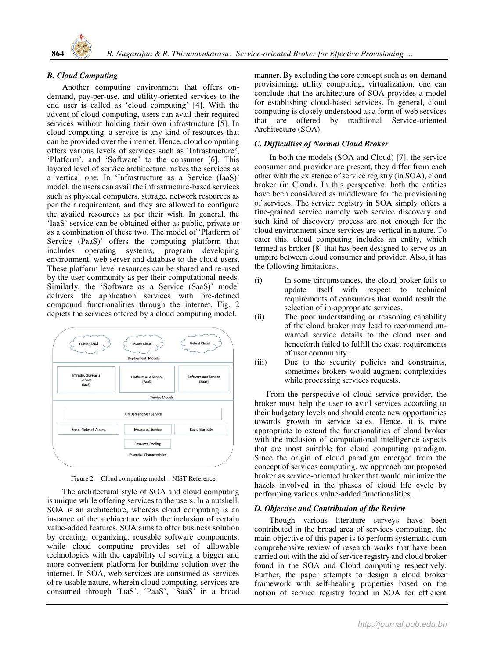

#### *B. Cloud Computing*

Another computing environment that offers ondemand, pay-per-use, and utility-oriented services to the end user is called as 'cloud computing' [4]. With the advent of cloud computing, users can avail their required services without holding their own infrastructure [5]. In cloud computing, a service is any kind of resources that can be provided over the internet. Hence, cloud computing offers various levels of services such as 'Infrastructure', 'Platform', and 'Software' to the consumer [6]. This layered level of service architecture makes the services as a vertical one. In 'Infrastructure as a Service (IaaS)' model, the users can avail the infrastructure-based services such as physical computers, storage, network resources as per their requirement, and they are allowed to configure the availed resources as per their wish. In general, the 'IaaS' service can be obtained either as public, private or as a combination of these two. The model of 'Platform of Service (PaaS)' offers the computing platform that includes operating systems, program developing environment, web server and database to the cloud users. These platform level resources can be shared and re-used by the user community as per their computational needs. Similarly, the 'Software as a Service (SaaS)' model delivers the application services with pre-defined compound functionalities through the internet. Fig. 2 depicts the services offered by a cloud computing model.



Figure 2. Cloud computing model – NIST Reference

The architectural style of SOA and cloud computing is unique while offering services to the users. In a nutshell, SOA is an architecture, whereas cloud computing is an instance of the architecture with the inclusion of certain value-added features. SOA aims to offer business solution by creating, organizing, reusable software components, while cloud computing provides set of allowable technologies with the capability of serving a bigger and more convenient platform for building solution over the internet. In SOA, web services are consumed as services of re-usable nature, wherein cloud computing, services are consumed through 'IaaS', 'PaaS', 'SaaS' in a broad manner. By excluding the core concept such as on-demand provisioning, utility computing, virtualization, one can conclude that the architecture of SOA provides a model for establishing cloud-based services. In general, cloud computing is closely understood as a form of web services that are offered by traditional Service-oriented Architecture (SOA).

## *C. Difficulties of Normal Cloud Broker*

In both the models (SOA and Cloud) [7], the service consumer and provider are present, they differ from each other with the existence of service registry (in SOA), cloud broker (in Cloud). In this perspective, both the entities have been considered as middleware for the provisioning of services. The service registry in SOA simply offers a fine-grained service namely web service discovery and such kind of discovery process are not enough for the cloud environment since services are vertical in nature. To cater this, cloud computing includes an entity, which termed as broker [8] that has been designed to serve as an umpire between cloud consumer and provider. Also, it has the following limitations.

- (i) In some circumstances, the cloud broker fails to update itself with respect to technical requirements of consumers that would result the selection of in-appropriate services.
- (ii) The poor understanding or reasoning capability of the cloud broker may lead to recommend unwanted service details to the cloud user and henceforth failed to fulfill the exact requirements of user community.
- (iii) Due to the security policies and constraints, sometimes brokers would augment complexities while processing services requests.

From the perspective of cloud service provider, the broker must help the user to avail services according to their budgetary levels and should create new opportunities towards growth in service sales. Hence, it is more appropriate to extend the functionalities of cloud broker with the inclusion of computational intelligence aspects that are most suitable for cloud computing paradigm. Since the origin of cloud paradigm emerged from the concept of services computing, we approach our proposed broker as service-oriented broker that would minimize the hazels involved in the phases of cloud life cycle by performing various value-added functionalities.

#### *D. Objective and Contribution of the Review*

Though various literature surveys have been contributed in the broad area of services computing, the main objective of this paper is to perform systematic cum comprehensive review of research works that have been carried out with the aid of service registry and cloud broker found in the SOA and Cloud computing respectively. Further, the paper attempts to design a cloud broker framework with self-healing properties based on the notion of service registry found in SOA for efficient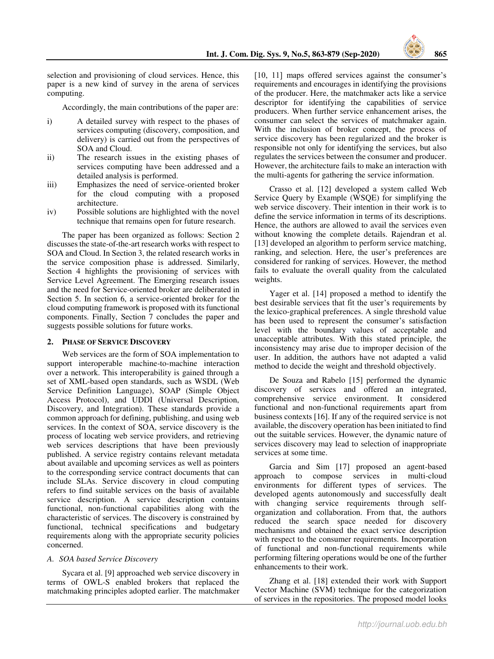

selection and provisioning of cloud services. Hence, this paper is a new kind of survey in the arena of services computing.

Accordingly, the main contributions of the paper are:

- i) A detailed survey with respect to the phases of services computing (discovery, composition, and delivery) is carried out from the perspectives of SOA and Cloud.
- ii) The research issues in the existing phases of services computing have been addressed and a detailed analysis is performed.
- iii) Emphasizes the need of service-oriented broker for the cloud computing with a proposed architecture.
- iv) Possible solutions are highlighted with the novel technique that remains open for future research.

The paper has been organized as follows: Section 2 discusses the state-of-the-art research works with respect to SOA and Cloud. In Section 3, the related research works in the service composition phase is addressed. Similarly, Section 4 highlights the provisioning of services with Service Level Agreement. The Emerging research issues and the need for Service-oriented broker are deliberated in Section 5. In section 6, a service-oriented broker for the cloud computing framework is proposed with its functional components. Finally, Section 7 concludes the paper and suggests possible solutions for future works.

#### **2. PHASE OF SERVICE DISCOVERY**

Web services are the form of SOA implementation to support interoperable machine-to-machine interaction over a network. This interoperability is gained through a set of XML-based open standards, such as WSDL (Web Service Definition Language), SOAP (Simple Object Access Protocol), and UDDI (Universal Description, Discovery, and Integration). These standards provide a common approach for defining, publishing, and using web services. In the context of SOA, service discovery is the process of locating web service providers, and retrieving web services descriptions that have been previously published. A service registry contains relevant metadata about available and upcoming services as well as pointers to the corresponding service contract documents that can include SLAs. Service discovery in cloud computing refers to find suitable services on the basis of available service description. A service description contains functional, non-functional capabilities along with the characteristic of services. The discovery is constrained by functional, technical specifications and budgetary requirements along with the appropriate security policies concerned.

#### *A. SOA based Service Discovery*

Sycara et al. [9] approached web service discovery in terms of OWL-S enabled brokers that replaced the matchmaking principles adopted earlier. The matchmaker

[10, 11] maps offered services against the consumer's requirements and encourages in identifying the provisions of the producer. Here, the matchmaker acts like a service descriptor for identifying the capabilities of service producers. When further service enhancement arises, the consumer can select the services of matchmaker again. With the inclusion of broker concept, the process of service discovery has been regularized and the broker is responsible not only for identifying the services, but also regulates the services between the consumer and producer. However, the architecture fails to make an interaction with the multi-agents for gathering the service information.

Crasso et al. [12] developed a system called Web Service Query by Example (WSQE) for simplifying the web service discovery. Their intention in their work is to define the service information in terms of its descriptions. Hence, the authors are allowed to avail the services even without knowing the complete details. Rajendran et al. [13] developed an algorithm to perform service matching, ranking, and selection. Here, the user's preferences are considered for ranking of services. However, the method fails to evaluate the overall quality from the calculated weights.

Yager et al. [14] proposed a method to identify the best desirable services that fit the user's requirements by the lexico-graphical preferences. A single threshold value has been used to represent the consumer's satisfaction level with the boundary values of acceptable and unacceptable attributes. With this stated principle, the inconsistency may arise due to improper decision of the user. In addition, the authors have not adapted a valid method to decide the weight and threshold objectively.

De Souza and Rabelo [15] performed the dynamic discovery of services and offered an integrated, comprehensive service environment. It considered functional and non-functional requirements apart from business contexts [16]. If any of the required service is not available, the discovery operation has been initiated to find out the suitable services. However, the dynamic nature of services discovery may lead to selection of inappropriate services at some time.

Garcia and Sim [17] proposed an agent-based approach to compose services in multi-cloud environments for different types of services. The developed agents autonomously and successfully dealt with changing service requirements through selforganization and collaboration. From that, the authors reduced the search space needed for discovery mechanisms and obtained the exact service description with respect to the consumer requirements. Incorporation of functional and non-functional requirements while performing filtering operations would be one of the further enhancements to their work.

Zhang et al. [18] extended their work with Support Vector Machine (SVM) technique for the categorization of services in the repositories. The proposed model looks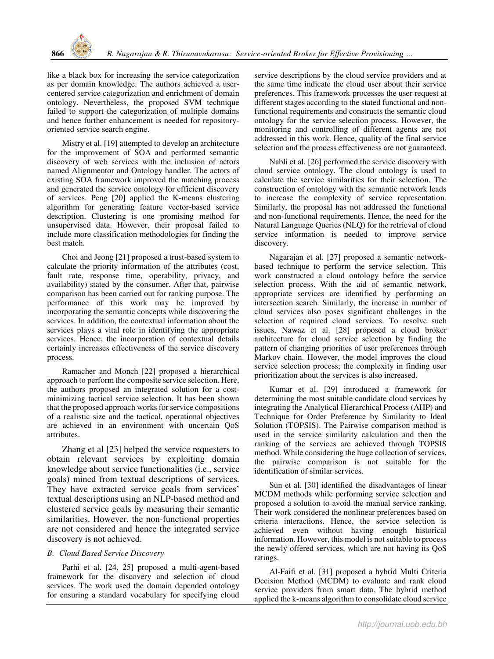like a black box for increasing the service categorization as per domain knowledge. The authors achieved a usercentered service categorization and enrichment of domain ontology. Nevertheless, the proposed SVM technique failed to support the categorization of multiple domains and hence further enhancement is needed for repositoryoriented service search engine.

Mistry et al. [19] attempted to develop an architecture for the improvement of SOA and performed semantic discovery of web services with the inclusion of actors named Alignmentor and Ontology handler. The actors of existing SOA framework improved the matching process and generated the service ontology for efficient discovery of services. Peng [20] applied the K-means clustering algorithm for generating feature vector-based service description. Clustering is one promising method for unsupervised data. However, their proposal failed to include more classification methodologies for finding the best match.

Choi and Jeong [21] proposed a trust-based system to calculate the priority information of the attributes (cost, fault rate, response time, operability, privacy, and availability) stated by the consumer. After that, pairwise comparison has been carried out for ranking purpose. The performance of this work may be improved by incorporating the semantic concepts while discovering the services. In addition, the contextual information about the services plays a vital role in identifying the appropriate services. Hence, the incorporation of contextual details certainly increases effectiveness of the service discovery process.

Ramacher and Monch [22] proposed a hierarchical approach to perform the composite service selection. Here, the authors proposed an integrated solution for a costminimizing tactical service selection. It has been shown that the proposed approach works for service compositions of a realistic size and the tactical, operational objectives are achieved in an environment with uncertain QoS attributes.

Zhang et al [23] helped the service requesters to obtain relevant services by exploiting domain knowledge about service functionalities (i.e., service goals) mined from textual descriptions of services. They have extracted service goals from services' textual descriptions using an NLP-based method and clustered service goals by measuring their semantic similarities. However, the non-functional properties are not considered and hence the integrated service discovery is not achieved.

#### *B. Cloud Based Service Discovery*

Parhi et al. [24, 25] proposed a multi-agent-based framework for the discovery and selection of cloud services. The work used the domain depended ontology for ensuring a standard vocabulary for specifying cloud

service descriptions by the cloud service providers and at the same time indicate the cloud user about their service preferences. This framework processes the user request at different stages according to the stated functional and nonfunctional requirements and constructs the semantic cloud ontology for the service selection process. However, the monitoring and controlling of different agents are not addressed in this work. Hence, quality of the final service selection and the process effectiveness are not guaranteed.

Nabli et al. [26] performed the service discovery with cloud service ontology. The cloud ontology is used to calculate the service similarities for their selection. The construction of ontology with the semantic network leads to increase the complexity of service representation. Similarly, the proposal has not addressed the functional and non-functional requirements. Hence, the need for the Natural Language Queries (NLQ) for the retrieval of cloud service information is needed to improve service discovery.

Nagarajan et al. [27] proposed a semantic networkbased technique to perform the service selection. This work constructed a cloud ontology before the service selection process. With the aid of semantic network, appropriate services are identified by performing an intersection search. Similarly, the increase in number of cloud services also poses significant challenges in the selection of required cloud services. To resolve such issues, Nawaz et al. [28] proposed a cloud broker architecture for cloud service selection by finding the pattern of changing priorities of user preferences through Markov chain. However, the model improves the cloud service selection process; the complexity in finding user prioritization about the services is also increased.

Kumar et al. [29] introduced a framework for determining the most suitable candidate cloud services by integrating the Analytical Hierarchical Process (AHP) and Technique for Order Preference by Similarity to Ideal Solution (TOPSIS). The Pairwise comparison method is used in the service similarity calculation and then the ranking of the services are achieved through TOPSIS method. While considering the huge collection of services, the pairwise comparison is not suitable for the identification of similar services.

Sun et al. [30] identified the disadvantages of linear MCDM methods while performing service selection and proposed a solution to avoid the manual service ranking. Their work considered the nonlinear preferences based on criteria interactions. Hence, the service selection is achieved even without having enough historical information. However, this model is not suitable to process the newly offered services, which are not having its QoS ratings.

Al-Faifi et al. [31] proposed a hybrid Multi Criteria Decision Method (MCDM) to evaluate and rank cloud service providers from smart data. The hybrid method applied the k-means algorithm to consolidate cloud service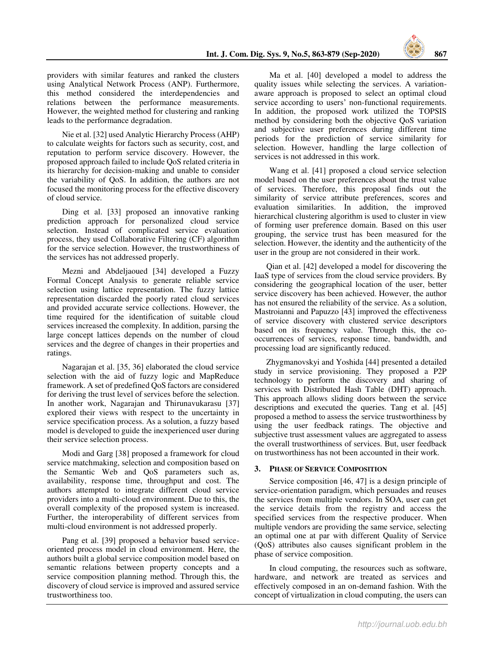

Nie et al. [32] used Analytic Hierarchy Process (AHP) to calculate weights for factors such as security, cost, and reputation to perform service discovery. However, the proposed approach failed to include QoS related criteria in its hierarchy for decision-making and unable to consider the variability of QoS. In addition, the authors are not focused the monitoring process for the effective discovery of cloud service.

Ding et al. [33] proposed an innovative ranking prediction approach for personalized cloud service selection. Instead of complicated service evaluation process, they used Collaborative Filtering (CF) algorithm for the service selection. However, the trustworthiness of the services has not addressed properly.

Mezni and Abdeljaoued [34] developed a Fuzzy Formal Concept Analysis to generate reliable service selection using lattice representation. The fuzzy lattice representation discarded the poorly rated cloud services and provided accurate service collections. However, the time required for the identification of suitable cloud services increased the complexity. In addition, parsing the large concept lattices depends on the number of cloud services and the degree of changes in their properties and ratings.

Nagarajan et al. [35, 36] elaborated the cloud service selection with the aid of fuzzy logic and MapReduce framework. A set of predefined QoS factors are considered for deriving the trust level of services before the selection. In another work, Nagarajan and Thirunavukarasu [37] explored their views with respect to the uncertainty in service specification process. As a solution, a fuzzy based model is developed to guide the inexperienced user during their service selection process.

Modi and Garg [38] proposed a framework for cloud service matchmaking, selection and composition based on the Semantic Web and QoS parameters such as, availability, response time, throughput and cost. The authors attempted to integrate different cloud service providers into a multi-cloud environment. Due to this, the overall complexity of the proposed system is increased. Further, the interoperability of different services from multi-cloud environment is not addressed properly.

Pang et al. [39] proposed a behavior based serviceoriented process model in cloud environment. Here, the authors built a global service composition model based on semantic relations between property concepts and a service composition planning method. Through this, the discovery of cloud service is improved and assured service trustworthiness too.

Ma et al. [40] developed a model to address the quality issues while selecting the services. A variationaware approach is proposed to select an optimal cloud service according to users' non-functional requirements. In addition, the proposed work utilized the TOPSIS method by considering both the objective QoS variation and subjective user preferences during different time periods for the prediction of service similarity for selection. However, handling the large collection of services is not addressed in this work.

Wang et al. [41] proposed a cloud service selection model based on the user preferences about the trust value of services. Therefore, this proposal finds out the similarity of service attribute preferences, scores and evaluation similarities. In addition, the improved hierarchical clustering algorithm is used to cluster in view of forming user preference domain. Based on this user grouping, the service trust has been measured for the selection. However, the identity and the authenticity of the user in the group are not considered in their work.

Qian et al. [42] developed a model for discovering the IaaS type of services from the cloud service providers. By considering the geographical location of the user, better service discovery has been achieved. However, the author has not ensured the reliability of the service. As a solution, Mastroianni and Papuzzo [43] improved the effectiveness of service discovery with clustered service descriptors based on its frequency value. Through this, the cooccurrences of services, response time, bandwidth, and processing load are significantly reduced.

Zhygmanovskyi and Yoshida [44] presented a detailed study in service provisioning. They proposed a P2P technology to perform the discovery and sharing of services with Distributed Hash Table (DHT) approach. This approach allows sliding doors between the service descriptions and executed the queries. Tang et al. [45] proposed a method to assess the service trustworthiness by using the user feedback ratings. The objective and subjective trust assessment values are aggregated to assess the overall trustworthiness of services. But, user feedback on trustworthiness has not been accounted in their work.

#### **3. PHASE OF SERVICE COMPOSITION**

Service composition [46, 47] is a design principle of service-orientation paradigm, which persuades and reuses the services from multiple vendors. In SOA, user can get the service details from the registry and access the specified services from the respective producer. When multiple vendors are providing the same service, selecting an optimal one at par with different Quality of Service (QoS) attributes also causes significant problem in the phase of service composition.

In cloud computing, the resources such as software, hardware, and network are treated as services and effectively composed in an on-demand fashion. With the concept of virtualization in cloud computing, the users can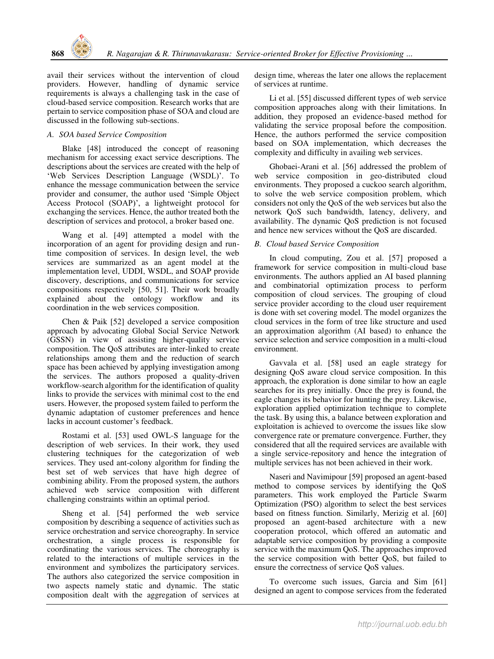avail their services without the intervention of cloud providers. However, handling of dynamic service requirements is always a challenging task in the case of cloud-based service composition. Research works that are pertain to service composition phase of SOA and cloud are discussed in the following sub-sections.

#### *A. SOA based Service Composition*

Blake [48] introduced the concept of reasoning mechanism for accessing exact service descriptions. The descriptions about the services are created with the help of 'Web Services Description Language (WSDL)'. To enhance the message communication between the service provider and consumer, the author used 'Simple Object Access Protocol (SOAP)', a lightweight protocol for exchanging the services. Hence, the author treated both the description of services and protocol, a broker based one.

Wang et al. [49] attempted a model with the incorporation of an agent for providing design and runtime composition of services. In design level, the web services are summarized as an agent model at the implementation level, UDDI, WSDL, and SOAP provide discovery, descriptions, and communications for service compositions respectively [50, 51]. Their work broadly explained about the ontology workflow and its coordination in the web services composition.

Chen & Paik [52] developed a service composition approach by advocating Global Social Service Network (GSSN) in view of assisting higher-quality service composition. The QoS attributes are inter-linked to create relationships among them and the reduction of search space has been achieved by applying investigation among the services. The authors proposed a quality-driven workflow-search algorithm for the identification of quality links to provide the services with minimal cost to the end users. However, the proposed system failed to perform the dynamic adaptation of customer preferences and hence lacks in account customer's feedback.

Rostami et al. [53] used OWL-S language for the description of web services. In their work, they used clustering techniques for the categorization of web services. They used ant-colony algorithm for finding the best set of web services that have high degree of combining ability. From the proposed system, the authors achieved web service composition with different challenging constraints within an optimal period.

Sheng et al. [54] performed the web service composition by describing a sequence of activities such as service orchestration and service choreography. In service orchestration, a single process is responsible for coordinating the various services. The choreography is related to the interactions of multiple services in the environment and symbolizes the participatory services. The authors also categorized the service composition in two aspects namely static and dynamic. The static composition dealt with the aggregation of services at design time, whereas the later one allows the replacement of services at runtime.

Li et al. [55] discussed different types of web service composition approaches along with their limitations. In addition, they proposed an evidence-based method for validating the service proposal before the composition. Hence, the authors performed the service composition based on SOA implementation, which decreases the complexity and difficulty in availing web services.

Ghobaei-Arani et al. [56] addressed the problem of web service composition in geo-distributed cloud environments. They proposed a cuckoo search algorithm, to solve the web service composition problem, which considers not only the QoS of the web services but also the network QoS such bandwidth, latency, delivery, and availability. The dynamic QoS prediction is not focused and hence new services without the QoS are discarded.

#### *B. Cloud based Service Composition*

In cloud computing, Zou et al. [57] proposed a framework for service composition in multi-cloud base environments. The authors applied an AI based planning and combinatorial optimization process to perform composition of cloud services. The grouping of cloud service provider according to the cloud user requirement is done with set covering model. The model organizes the cloud services in the form of tree like structure and used an approximation algorithm (AI based) to enhance the service selection and service composition in a multi-cloud environment.

Gavvala et al. [58] used an eagle strategy for designing QoS aware cloud service composition. In this approach, the exploration is done similar to how an eagle searches for its prey initially. Once the prey is found, the eagle changes its behavior for hunting the prey. Likewise, exploration applied optimization technique to complete the task. By using this, a balance between exploration and exploitation is achieved to overcome the issues like slow convergence rate or premature convergence. Further, they considered that all the required services are available with a single service-repository and hence the integration of multiple services has not been achieved in their work.

Naseri and Navimipour [59] proposed an agent-based method to compose services by identifying the QoS parameters. This work employed the Particle Swarm Optimization (PSO) algorithm to select the best services based on fitness function. Similarly, Merizig et al. [60] proposed an agent-based architecture with a new cooperation protocol, which offered an automatic and adaptable service composition by providing a composite service with the maximum QoS. The approaches improved the service composition with better QoS, but failed to ensure the correctness of service QoS values.

To overcome such issues, Garcia and Sim [61] designed an agent to compose services from the federated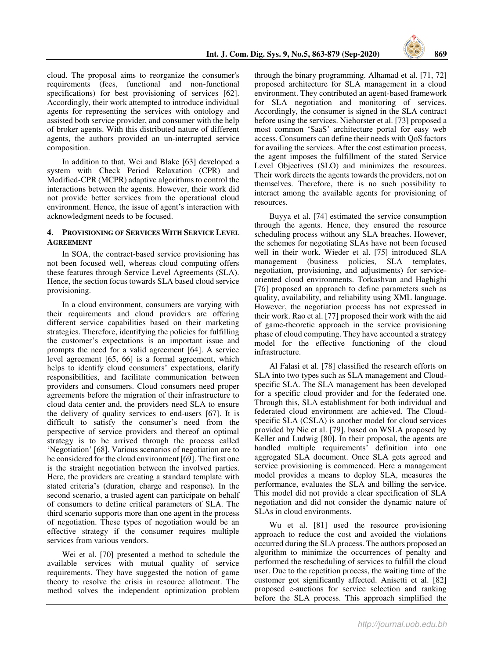

cloud. The proposal aims to reorganize the consumer's requirements (fees, functional and non-functional specifications) for best provisioning of services [62]. Accordingly, their work attempted to introduce individual agents for representing the services with ontology and assisted both service provider, and consumer with the help of broker agents. With this distributed nature of different agents, the authors provided an un-interrupted service composition.

In addition to that, Wei and Blake [63] developed a system with Check Period Relaxation (CPR) and Modified-CPR (MCPR) adaptive algorithms to control the interactions between the agents. However, their work did not provide better services from the operational cloud environment. Hence, the issue of agent's interaction with acknowledgment needs to be focused.

#### **4. PROVISIONING OF SERVICES WITH SERVICE LEVEL AGREEMENT**

In SOA, the contract-based service provisioning has not been focused well, whereas cloud computing offers these features through Service Level Agreements (SLA). Hence, the section focus towards SLA based cloud service provisioning.

In a cloud environment, consumers are varying with their requirements and cloud providers are offering different service capabilities based on their marketing strategies. Therefore, identifying the policies for fulfilling the customer's expectations is an important issue and prompts the need for a valid agreement [64]. A service level agreement [65, 66] is a formal agreement, which helps to identify cloud consumers' expectations, clarify responsibilities, and facilitate communication between providers and consumers. Cloud consumers need proper agreements before the migration of their infrastructure to cloud data center and, the providers need SLA to ensure the delivery of quality services to end-users [67]. It is difficult to satisfy the consumer's need from the perspective of service providers and thereof an optimal strategy is to be arrived through the process called 'Negotiation' [68]. Various scenarios of negotiation are to be considered for the cloud environment [69]. The first one is the straight negotiation between the involved parties. Here, the providers are creating a standard template with stated criteria's (duration, charge and response). In the second scenario, a trusted agent can participate on behalf of consumers to define critical parameters of SLA. The third scenario supports more than one agent in the process of negotiation. These types of negotiation would be an effective strategy if the consumer requires multiple services from various vendors.

Wei et al. [70] presented a method to schedule the available services with mutual quality of service requirements. They have suggested the notion of game theory to resolve the crisis in resource allotment. The method solves the independent optimization problem

through the binary programming. Alhamad et al. [71, 72] proposed architecture for SLA management in a cloud environment. They contributed an agent-based framework for SLA negotiation and monitoring of services. Accordingly, the consumer is signed in the SLA contract before using the services. Niehorster et al. [73] proposed a most common 'SaaS' architecture portal for easy web access. Consumers can define their needs with QoS factors for availing the services. After the cost estimation process, the agent imposes the fulfillment of the stated Service Level Objectives (SLO) and minimizes the resources. Their work directs the agents towards the providers, not on themselves. Therefore, there is no such possibility to interact among the available agents for provisioning of resources.

Buyya et al. [74] estimated the service consumption through the agents. Hence, they ensured the resource scheduling process without any SLA breaches. However, the schemes for negotiating SLAs have not been focused well in their work. Wieder et al. [75] introduced SLA management (business policies, SLA templates, negotiation, provisioning, and adjustments) for serviceoriented cloud environments. Torkashvan and Haghighi [76] proposed an approach to define parameters such as quality, availability, and reliability using XML language. However, the negotiation process has not expressed in their work. Rao et al. [77] proposed their work with the aid of game-theoretic approach in the service provisioning phase of cloud computing. They have accounted a strategy model for the effective functioning of the cloud infrastructure.

Al Falasi et al. [78] classified the research efforts on SLA into two types such as SLA management and Cloudspecific SLA. The SLA management has been developed for a specific cloud provider and for the federated one. Through this, SLA establishment for both individual and federated cloud environment are achieved. The Cloudspecific SLA (CSLA) is another model for cloud services provided by Nie et al. [79], based on WSLA proposed by Keller and Ludwig [80]. In their proposal, the agents are handled multiple requirements' definition into one aggregated SLA document. Once SLA gets agreed and service provisioning is commenced. Here a management model provides a means to deploy SLA, measures the performance, evaluates the SLA and billing the service. This model did not provide a clear specification of SLA negotiation and did not consider the dynamic nature of SLAs in cloud environments.

Wu et al. [81] used the resource provisioning approach to reduce the cost and avoided the violations occurred during the SLA process. The authors proposed an algorithm to minimize the occurrences of penalty and performed the rescheduling of services to fulfill the cloud user. Due to the repetition process, the waiting time of the customer got significantly affected. Anisetti et al. [82] proposed e-auctions for service selection and ranking before the SLA process. This approach simplified the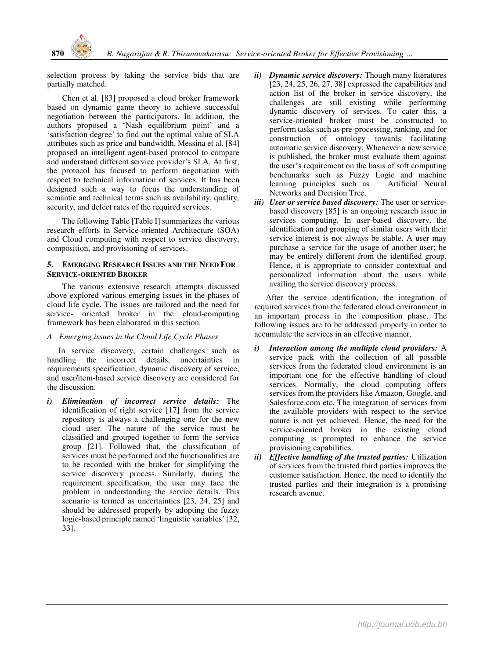selection process by taking the service bids that are partially matched.

Chen et al. [83] proposed a cloud broker framework based on dynamic game theory to achieve successful negotiation between the participators. In addition, the authors proposed a 'Nash equilibrium point' and a 'satisfaction degree' to find out the optimal value of SLA attributes such as price and bandwidth. Messina et al. [84] proposed an intelligent agent-based protocol to compare and understand different service provider's SLA. At first, the protocol has focused to perform negotiation with respect to technical information of services. It has been designed such a way to focus the understanding of semantic and technical terms such as availability, quality, security, and defect rates of the required services.

The following Table [Table I] summarizes the various research efforts in Service-oriented Architecture (SOA) and Cloud computing with respect to service discovery, composition, and provisioning of services.

#### **5. EMERGING RESEARCH ISSUES AND THE NEED FOR SERVICE-ORIENTED BROKER**

The various extensive research attempts discussed above explored various emerging issues in the phases of cloud life cycle. The issues are tailored and the need for service- oriented broker in the cloud-computing framework has been elaborated in this section.

#### *A. Emerging issues in the Cloud Life Cycle Phases*

In service discovery, certain challenges such as handling the incorrect details, uncertainties in requirements specification, dynamic discovery of service, and user/item-based service discovery are considered for the discussion.

*i) Elimination of incorrect service details:* The identification of right service [17] from the service repository is always a challenging one for the new cloud user. The nature of the service must be classified and grouped together to form the service group [21]. Followed that, the classification of services must be performed and the functionalities are to be recorded with the broker for simplifying the service discovery process. Similarly, during the requirement specification, the user may face the problem in understanding the service details. This scenario is termed as uncertainties [23, 24, 25] and should be addressed properly by adopting the fuzzy logic-based principle named 'linguistic variables' [32, 33].

- *ii) Dynamic service discovery:* Though many literatures [23, 24, 25, 26, 27, 38] expressed the capabilities and action list of the broker in service discovery, the challenges are still existing while performing dynamic discovery of services. To cater this, a service-oriented broker must be constructed to perform tasks such as pre-processing, ranking, and for construction of ontology towards facilitating automatic service discovery. Whenever a new service is published, the broker must evaluate them against the user's requirement on the basis of soft computing benchmarks such as Fuzzy Logic and machine learning principles such as Artificial Neural Networks and Decision Tree.
- *iii) User or service based discovery:* The user or servicebased discovery [85] is an ongoing research issue in services computing. In user-based discovery, the identification and grouping of similar users with their service interest is not always be stable. A user may purchase a service for the usage of another user; he may be entirely different from the identified group. Hence, it is appropriate to consider contextual and personalized information about the users while availing the service discovery process.

After the service identification, the integration of required services from the federated cloud environment in an important process in the composition phase. The following issues are to be addressed properly in order to accumulate the services in an effective manner.

- *i) Interaction among the multiple cloud providers:* A service pack with the collection of all possible services from the federated cloud environment is an important one for the effective handling of cloud services. Normally, the cloud computing offers services from the providers like Amazon, Google, and Salesforce.com etc. The integration of services from the available providers with respect to the service nature is not yet achieved. Hence, the need for the service-oriented broker in the existing cloud computing is prompted to enhance the service provisioning capabilities.
- *ii) Effective handling of the trusted parties:* Utilization of services from the trusted third parties improves the customer satisfaction. Hence, the need to identify the trusted parties and their integration is a promising research avenue.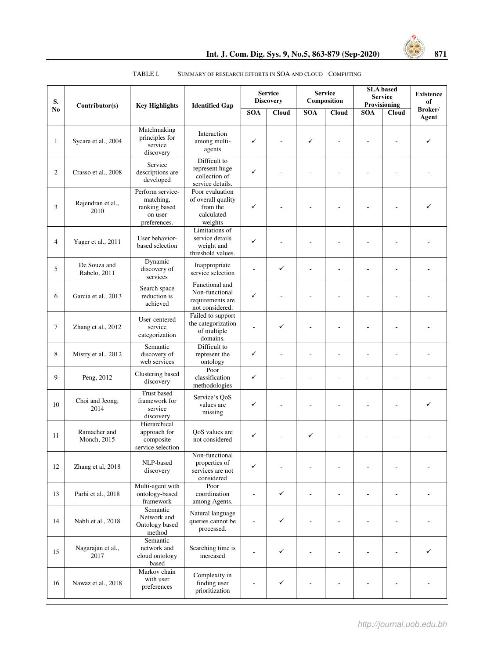# **Int. J. Com. Dig. Sys. 9, No.5, 863-879 (Sep-2020)****871**



| S.             | Contributor(s)               | <b>Key Highlights</b>                                                     | <b>Identified Gap</b>                                                      |            | <b>Service</b><br><b>Discovery</b> |                | <b>Service</b><br>Composition |            | <b>SLA</b> based<br><b>Service</b><br>Provisioning |                  |
|----------------|------------------------------|---------------------------------------------------------------------------|----------------------------------------------------------------------------|------------|------------------------------------|----------------|-------------------------------|------------|----------------------------------------------------|------------------|
| No             |                              |                                                                           |                                                                            | <b>SOA</b> | <b>Cloud</b>                       | SOA            | <b>Cloud</b>                  | <b>SOA</b> | <b>Cloud</b>                                       | Broker/<br>Agent |
| $\mathbf{1}$   | Sycara et al., 2004          | Matchmaking<br>principles for<br>service<br>discovery                     | Interaction<br>among multi-<br>agents                                      | ✓          |                                    | ✓              |                               |            |                                                    | ✓                |
| 2              | Crasso et al., 2008          | Service<br>descriptions are<br>developed                                  | Difficult to<br>represent huge<br>collection of<br>service details.        | ✓          |                                    |                |                               |            |                                                    |                  |
| 3              | Rajendran et al.,<br>2010    | Perform service-<br>matching,<br>ranking based<br>on user<br>preferences. | Poor evaluation<br>of overall quality<br>from the<br>calculated<br>weights | ✓          |                                    |                |                               |            |                                                    |                  |
| $\overline{4}$ | Yager et al., 2011           | User behavior-<br>based selection                                         | Limitations of<br>service details<br>weight and<br>threshold values.       | ✓          |                                    |                |                               |            |                                                    |                  |
| 5              | De Souza and<br>Rabelo, 2011 | Dynamic<br>discovery of<br>services                                       | Inappropriate<br>service selection                                         | ÷,         | ✓                                  |                |                               |            |                                                    |                  |
| 6              | Garcia et al., 2013          | Search space<br>reduction is<br>achieved                                  | Functional and<br>Non-functional<br>requirements are<br>not considered.    | ✓          |                                    | ÷,             |                               |            | $\overline{a}$                                     |                  |
| $\overline{7}$ | Zhang et al., 2012           | User-centered<br>service<br>categorization                                | Failed to support<br>the categorization<br>of multiple<br>domains.         |            | ✓                                  |                |                               |            |                                                    |                  |
| 8              | Mistry et al., 2012          | Semantic<br>discovery of<br>web services                                  | Difficult to<br>represent the<br>ontology                                  | ✓          |                                    |                |                               |            |                                                    |                  |
| 9              | Peng, 2012                   | Clustering based<br>discovery                                             | Poor<br>classification<br>methodologies                                    | ✓          |                                    |                |                               |            |                                                    |                  |
| 10             | Choi and Jeong,<br>2014      | Trust based<br>framework for<br>service<br>discovery                      | Service's QoS<br>values are<br>missing                                     | ✓          |                                    | $\overline{a}$ |                               |            | $\overline{a}$                                     | ✓                |
| 11             | Ramacher and<br>Monch, 2015  | Hierarchical<br>approach for<br>composite<br>service selection            | OoS values are<br>not considered                                           | ✓          |                                    | ✓              |                               |            | $\overline{a}$                                     |                  |
| 12             | Zhang et al, 2018            | NLP-based<br>discovery                                                    | Non-functional<br>properties of<br>services are not<br>considered          | ✓          |                                    |                |                               |            |                                                    |                  |
| 13             | Parhi et al., 2018           | Multi-agent with<br>ontology-based<br>framework                           | Poor<br>coordination<br>among Agents.                                      | ÷,         | ✓                                  |                |                               |            |                                                    |                  |
| 14             | Nabli et al., 2018           | Semantic<br>Network and<br>Ontology based<br>$\operatorname{method}$      | Natural language<br>queries cannot be<br>processed.                        | L,         | ✓                                  |                |                               |            |                                                    |                  |
| 15             | Nagarajan et al.,<br>2017    | Semantic<br>network and<br>cloud ontology<br>based                        | Searching time is<br>increased                                             |            | ✓                                  |                |                               |            |                                                    | ✓                |
| 16             | Nawaz et al., 2018           | Markov chain<br>with user<br>preferences                                  | Complexity in<br>finding user<br>prioritization                            |            | ✓                                  |                |                               |            |                                                    |                  |

## TABLE I. SUMMARY OF RESEARCH EFFORTS IN SOA AND CLOUD COMPUTING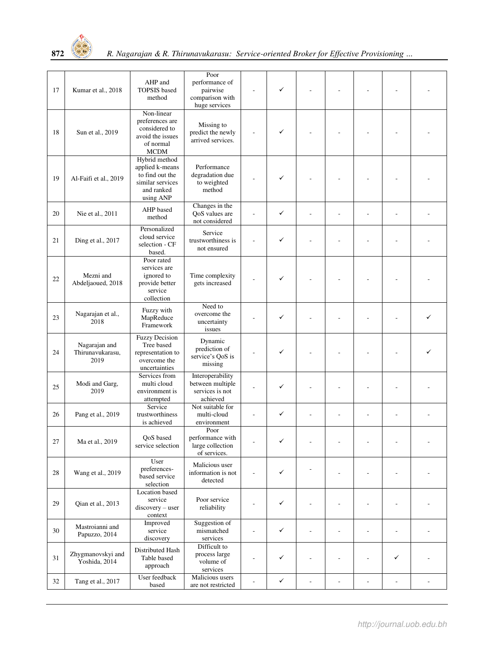

| 17     | Kumar et al., 2018                        | AHP and<br><b>TOPSIS</b> based<br>method                                                           | Poor<br>performance of<br>pairwise<br>comparison with<br>huge services |                |   |                |                |    |  |
|--------|-------------------------------------------|----------------------------------------------------------------------------------------------------|------------------------------------------------------------------------|----------------|---|----------------|----------------|----|--|
| 18     | Sun et al., 2019                          | Non-linear<br>preferences are<br>considered to<br>avoid the issues<br>of normal<br>MCDM            | Missing to<br>predict the newly<br>arrived services.                   |                | ✓ |                |                |    |  |
| 19     | Al-Faifi et al., 2019                     | Hybrid method<br>applied k-means<br>to find out the<br>similar services<br>and ranked<br>using ANP | Performance<br>degradation due<br>to weighted<br>method                |                |   |                |                |    |  |
| 20     | Nie et al., 2011                          | AHP based<br>method                                                                                | Changes in the<br>QoS values are<br>not considered                     |                | ✓ |                |                |    |  |
| 21     | Ding et al., 2017                         | Personalized<br>cloud service<br>selection - CF<br>based.                                          | Service<br>trustworthiness is<br>not ensured                           |                | ✓ |                |                |    |  |
| 22     | Mezni and<br>Abdeljaoued, 2018            | Poor rated<br>services are<br>ignored to<br>provide better<br>service<br>collection                | Time complexity<br>gets increased                                      |                |   |                |                |    |  |
| 23     | Nagarajan et al.,<br>2018                 | Fuzzy with<br>MapReduce<br>Framework                                                               | Need to<br>overcome the<br>uncertainty<br>issues                       |                | ✓ |                |                |    |  |
| 24     | Nagarajan and<br>Thirunavukarasu,<br>2019 | <b>Fuzzy Decision</b><br>Tree based<br>representation to<br>overcome the<br>uncertainties          | Dynamic<br>prediction of<br>service's QoS is<br>missing                |                | ✓ |                |                |    |  |
| 25     | Modi and Garg,<br>2019                    | Services from<br>multi cloud<br>environment is<br>attempted                                        | Interoperability<br>between multiple<br>services is not<br>achieved    |                | ✓ |                |                |    |  |
| 26     | Pang et al., 2019                         | Service<br>trustworthiness<br>is achieved                                                          | Not suitable for<br>multi-cloud<br>environment                         |                | ✓ |                |                |    |  |
| 27     | Ma et al., 2019                           | QoS based<br>service selection                                                                     | Poor<br>performance with<br>large collection<br>of services.           | $\overline{a}$ |   |                |                |    |  |
| 28     | Wang et al., 2019                         | User<br>preferences-<br>based service<br>selection                                                 | Malicious user<br>information is not<br>detected                       |                | ✓ |                |                |    |  |
| 29     | Qian et al., 2013                         | <b>Location</b> based<br>service<br>discovery - user<br>context                                    | Poor service<br>reliability                                            |                | ✓ |                |                |    |  |
| $30\,$ | Mastroianni and<br>Papuzzo, 2014          | Improved<br>service<br>discovery                                                                   | Suggestion of<br>mismatched<br>services                                |                | ✓ |                |                |    |  |
| 31     | Zhygmanovskyi and<br>Yoshida, 2014        | Distributed Hash<br>Table based<br>approach                                                        | Difficult to<br>process large<br>volume of<br>services                 |                | ✓ | L,             |                | ✓  |  |
| 32     | Tang et al., 2017                         | User feedback<br>based                                                                             | Malicious users<br>are not restricted                                  |                | ✓ | $\overline{a}$ | $\overline{a}$ | ÷, |  |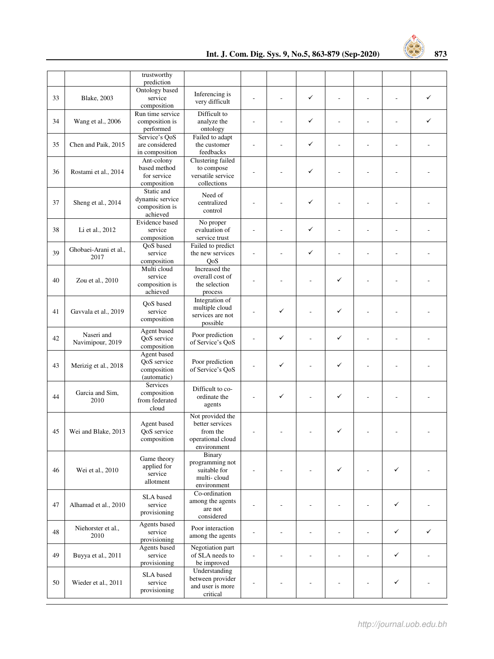

# **Int. J. Com. Dig. Sys. 9, No.5, 863-879 (Sep-2020)****873**

|    |                                | trustworthy                                                 |                                                                                     |                |    |              |   |    |   |
|----|--------------------------------|-------------------------------------------------------------|-------------------------------------------------------------------------------------|----------------|----|--------------|---|----|---|
|    |                                | prediction                                                  |                                                                                     |                |    |              |   |    |   |
| 33 | <b>Blake</b> , 2003            | Ontology based<br>service<br>composition                    | Inferencing is<br>very difficult                                                    | ÷,             | L, | ✓            |   | L, | ✓ |
| 34 | Wang et al., 2006              | Run time service<br>composition is<br>performed             | Difficult to<br>analyze the<br>ontology                                             | L,             |    | ✓            |   |    | ✓ |
| 35 | Chen and Paik, 2015            | Service's QoS<br>are considered<br>in composition           | Failed to adapt<br>the customer<br>feedbacks                                        |                |    | ✓            |   |    |   |
| 36 | Rostami et al., 2014           | Ant-colony<br>based method<br>for service<br>composition    | Clustering failed<br>to compose<br>versatile service<br>collections                 | Ĭ.             |    | ✓            |   |    |   |
| 37 | Sheng et al., 2014             | Static and<br>dynamic service<br>composition is<br>achieved | Need of<br>centralized<br>control                                                   |                |    | ✓            |   |    |   |
| 38 | Li et al., 2012                | Evidence based<br>service<br>composition                    | No proper<br>evaluation of<br>service trust                                         |                |    | ✓            |   |    |   |
| 39 | Ghobaei-Arani et al.,<br>2017  | OoS based<br>service<br>composition                         | Failed to predict<br>the new services<br>QoS                                        | L,             |    | $\checkmark$ |   |    |   |
| 40 | Zou et al., 2010               | Multi cloud<br>service<br>composition is<br>achieved        | Increased the<br>overall cost of<br>the selection<br>process                        | $\overline{a}$ |    |              | ✓ |    |   |
| 41 | Gavvala et al., 2019           | QoS based<br>service<br>composition                         | Integration of<br>multiple cloud<br>services are not<br>possible                    | L,             | ✓  |              | ✓ |    |   |
| 42 | Naseri and<br>Navimipour, 2019 | Agent based<br>QoS service<br>composition                   | Poor prediction<br>of Service's QoS                                                 | L,             | ✓  |              | ✓ |    |   |
| 43 | Merizig et al., 2018           | Agent based<br>QoS service<br>composition<br>(automatic)    | Poor prediction<br>of Service's QoS                                                 |                | ✓  |              | ✓ |    |   |
| 44 | Garcia and Sim,<br>2010        | Services<br>composition<br>from federated<br>cloud          | Difficult to co-<br>ordinate the<br>agents                                          | ÷,             | ✓  |              | ✓ |    |   |
| 45 | Wei and Blake, 2013            | Agent based<br>QoS service<br>composition                   | Not provided the<br>better services<br>from the<br>operational cloud<br>environment | ÷,             |    |              | ✓ |    |   |
| 46 | Wei et al., 2010               | Game theory<br>applied for<br>service<br>allotment          | Binary<br>programming not<br>suitable for<br>multi-cloud<br>environment             |                |    |              | ✓ | ✓  |   |
| 47 | Alhamad et al., 2010           | SLA based<br>service<br>provisioning                        | Co-ordination<br>among the agents<br>are not<br>considered                          | $\overline{a}$ |    |              |   | ✓  |   |
| 48 | Niehorster et al.,<br>2010     | Agents based<br>service<br>provisioning                     | Poor interaction<br>among the agents                                                | -              |    |              |   | ✓  | ✓ |
| 49 | Buyya et al., 2011             | <b>Agents</b> based<br>service<br>provisioning              | Negotiation part<br>of SLA needs to<br>be improved                                  | $\overline{a}$ |    |              |   | ✓  |   |
| 50 | Wieder et al., 2011            | SLA based<br>service<br>provisioning                        | Understanding<br>between provider<br>and user is more<br>critical                   |                |    |              |   | ✓  |   |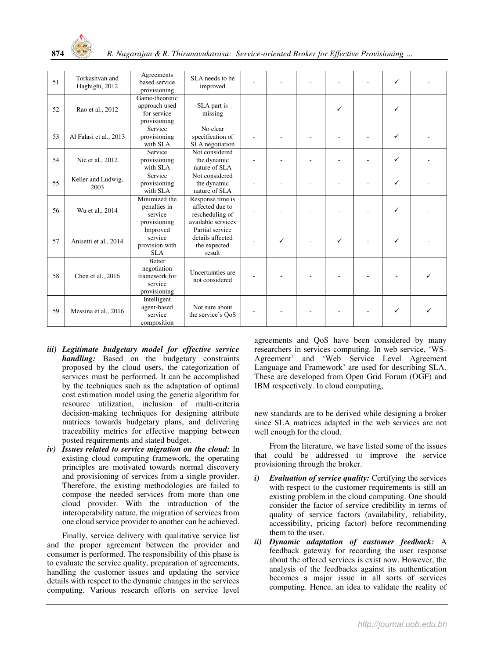

| 51 | Torkashvan and<br>Haghighi, 2012 | Agreements<br>based service<br>provisioning                              | SLA needs to be<br>improved                                                  |   |              | $\checkmark$ |  |
|----|----------------------------------|--------------------------------------------------------------------------|------------------------------------------------------------------------------|---|--------------|--------------|--|
| 52 | Rao et al., 2012                 | Game-theoretic<br>approach used<br>for service<br>provisioning           | SLA part is<br>missing                                                       |   | ✓            | $\checkmark$ |  |
| 53 | Al Falasi et al., 2013           | Service<br>provisioning<br>with SLA                                      | No clear<br>specification of<br>SLA negotiation                              |   |              | $\checkmark$ |  |
| 54 | Nie et al., 2012                 | Service<br>provisioning<br>with SLA                                      | Not considered<br>the dynamic<br>nature of SLA                               |   |              | $\checkmark$ |  |
| 55 | Keller and Ludwig,<br>2003       | Service<br>provisioning<br>with SLA                                      | Not considered<br>the dynamic<br>nature of SLA                               |   |              | $\checkmark$ |  |
| 56 | Wu et al., 2014                  | Minimized the<br>penalties in<br>service<br>provisioning                 | Response time is<br>affected due to<br>rescheduling of<br>available services |   |              | $\checkmark$ |  |
| 57 | Anisetti et al., 2014            | Improved<br>service<br>provision with<br><b>SLA</b>                      | Partial service<br>details affected<br>the expected<br>result                | ✓ | $\checkmark$ | $\checkmark$ |  |
| 58 | Chen et al., 2016                | <b>Better</b><br>negotiation<br>framework for<br>service<br>provisioning | Uncertainties are<br>not considered                                          |   |              |              |  |
| 59 | Messina et al., 2016             | Intelligent<br>agent-based<br>service<br>composition                     | Not sure about<br>the service's OoS                                          |   |              | $\checkmark$ |  |

- *iii) Legitimate budgetary model for effective service handling:* Based on the budgetary constraints proposed by the cloud users, the categorization of services must be performed. It can be accomplished by the techniques such as the adaptation of optimal cost estimation model using the genetic algorithm for resource utilization, inclusion of multi-criteria decision-making techniques for designing attribute matrices towards budgetary plans, and delivering traceability metrics for effective mapping between posted requirements and stated budget.
- *iv) Issues related to service migration on the cloud:* In existing cloud computing framework, the operating principles are motivated towards normal discovery and provisioning of services from a single provider. Therefore, the existing methodologies are failed to compose the needed services from more than one cloud provider. With the introduction of the interoperability nature, the migration of services from one cloud service provider to another can be achieved.

Finally, service delivery with qualitative service list and the proper agreement between the provider and consumer is performed. The responsibility of this phase is to evaluate the service quality, preparation of agreements, handling the customer issues and updating the service details with respect to the dynamic changes in the services computing. Various research efforts on service level

agreements and QoS have been considered by many researchers in services computing. In web service, 'WS-Agreement' and 'Web Service Level Agreement Language and Framework' are used for describing SLA. These are developed from Open Grid Forum (OGF) and IBM respectively. In cloud computing,

new standards are to be derived while designing a broker since SLA matrices adapted in the web services are not well enough for the cloud.

From the literature, we have listed some of the issues that could be addressed to improve the service provisioning through the broker.

- *i) Evaluation of service quality:* Certifying the services with respect to the customer requirements is still an existing problem in the cloud computing. One should consider the factor of service credibility in terms of quality of service factors (availability, reliability, accessibility, pricing factor) before recommending them to the user.
- *ii) Dynamic adaptation of customer feedback:* A feedback gateway for recording the user response about the offered services is exist now. However, the analysis of the feedbacks against its authentication becomes a major issue in all sorts of services computing. Hence, an idea to validate the reality of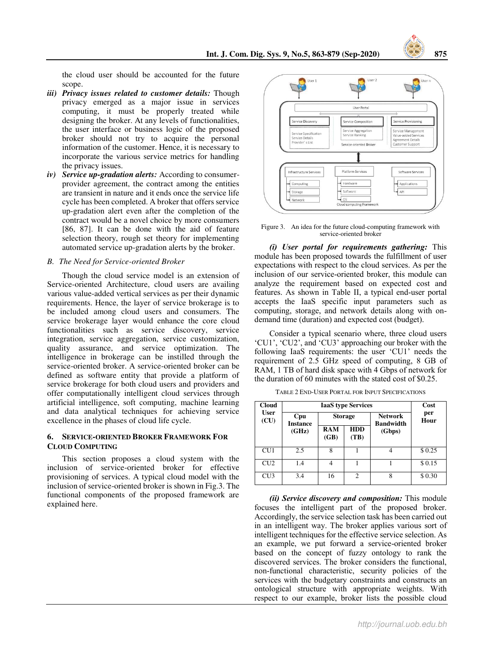

the cloud user should be accounted for the future scope.

- *iii) Privacy issues related to customer details:* Though privacy emerged as a major issue in services computing, it must be properly treated while designing the broker. At any levels of functionalities, the user interface or business logic of the proposed broker should not try to acquire the personal information of the customer. Hence, it is necessary to incorporate the various service metrics for handling the privacy issues.
- *iv) Service up-gradation alerts:* According to consumerprovider agreement, the contract among the entities are transient in nature and it ends once the service life cycle has been completed. A broker that offers service up-gradation alert even after the completion of the contract would be a novel choice by more consumers [86, 87]. It can be done with the aid of feature selection theory, rough set theory for implementing automated service up-gradation alerts by the broker.

#### *B. The Need for Service-oriented Broker*

Though the cloud service model is an extension of Service-oriented Architecture, cloud users are availing various value-added vertical services as per their dynamic requirements. Hence, the layer of service brokerage is to be included among cloud users and consumers. The service brokerage layer would enhance the core cloud functionalities such as service discovery, service integration, service aggregation, service customization, quality assurance, and service optimization. The intelligence in brokerage can be instilled through the service-oriented broker. A service-oriented broker can be defined as software entity that provide a platform of service brokerage for both cloud users and providers and offer computationally intelligent cloud services through artificial intelligence, soft computing, machine learning and data analytical techniques for achieving service excellence in the phases of cloud life cycle.

#### **6. SERVICE-ORIENTED BROKER FRAMEWORK FOR CLOUD COMPUTING**

This section proposes a cloud system with the inclusion of service-oriented broker for effective provisioning of services. A typical cloud model with the inclusion of service-oriented broker is shown in Fig.3. The functional components of the proposed framework are explained here.



Figure 3. An idea for the future cloud-computing framework with service-oriented broker

*(i) User portal for requirements gathering:* This module has been proposed towards the fulfillment of user expectations with respect to the cloud services. As per the inclusion of our service-oriented broker, this module can analyze the requirement based on expected cost and features. As shown in Table II, a typical end-user portal accepts the IaaS specific input parameters such as computing, storage, and network details along with ondemand time (duration) and expected cost (budget).

Consider a typical scenario where, three cloud users 'CU1', 'CU2', and 'CU3' approaching our broker with the following IaaS requirements: the user 'CU1' needs the requirement of 2.5 GHz speed of computing, 8 GB of RAM, 1 TB of hard disk space with 4 Gbps of network for the duration of 60 minutes with the stated cost of \$0.25.

| <b>Cloud</b>        |                        |                    | <b>IaaS</b> type Services |                                    | Cost        |
|---------------------|------------------------|--------------------|---------------------------|------------------------------------|-------------|
| <b>User</b><br>(CU) | Cpu<br><b>Instance</b> | <b>Storage</b>     |                           | <b>Network</b><br><b>Bandwidth</b> | per<br>Hour |
|                     | (GHz)                  | <b>RAM</b><br>(GB) | <b>HDD</b><br>(TB)        | (Gbps)                             |             |
| CU1                 | 2.5                    | 8                  |                           |                                    | \$0.25      |
| CU2                 | 1.4                    | 4                  |                           |                                    | \$0.15      |
| CU3                 | 3.4                    | 16                 | 2                         | 8                                  | \$0.30      |

TABLE 2 END-USER PORTAL FOR INPUT SPECIFICATIONS

*(ii) Service discovery and composition:* This module focuses the intelligent part of the proposed broker. Accordingly, the service selection task has been carried out in an intelligent way. The broker applies various sort of intelligent techniques for the effective service selection. As an example, we put forward a service-oriented broker based on the concept of fuzzy ontology to rank the discovered services. The broker considers the functional, non-functional characteristic, security policies of the services with the budgetary constraints and constructs an ontological structure with appropriate weights. With respect to our example, broker lists the possible cloud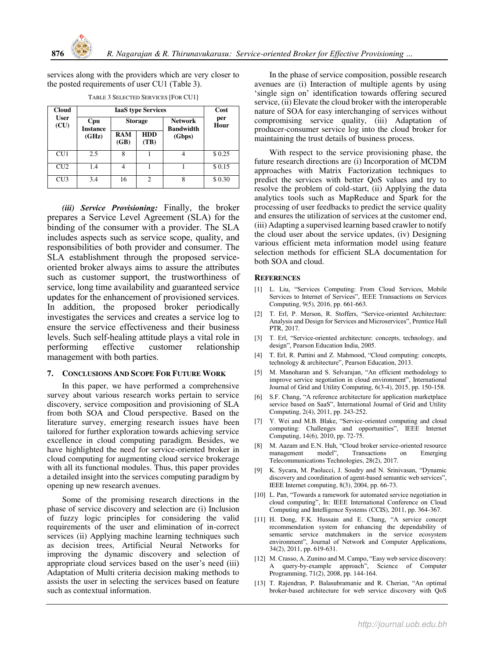services along with the providers which are very closer to the posted requirements of user CU1 (Table 3).

| <b>Cloud</b>        |                        |                    | <b>IaaS</b> type Services |                                    | Cost        |
|---------------------|------------------------|--------------------|---------------------------|------------------------------------|-------------|
| <b>User</b><br>(CU) | Cpu<br><b>Instance</b> | <b>Storage</b>     |                           | <b>Network</b><br><b>Bandwidth</b> | per<br>Hour |
|                     | (GHz)                  | <b>RAM</b><br>(GB) | <b>HDD</b><br>(TB)        | (Gbps)                             |             |
| CU1                 | 2.5                    | 8                  |                           |                                    | \$0.25      |
| CU2                 | 1.4                    |                    |                           |                                    | \$0.15      |
| CU3                 | 3.4                    | 16                 | $\mathcal{D}$             | 8                                  | \$0.30      |

TABLE 3 SELECTED SERVICES [FOR CU1]

*(iii) Service Provisioning:* Finally, the broker prepares a Service Level Agreement (SLA) for the binding of the consumer with a provider. The SLA includes aspects such as service scope, quality, and responsibilities of both provider and consumer. The SLA establishment through the proposed serviceoriented broker always aims to assure the attributes such as customer support, the trustworthiness of service, long time availability and guaranteed service updates for the enhancement of provisioned services. In addition, the proposed broker periodically investigates the services and creates a service log to ensure the service effectiveness and their business levels. Such self-healing attitude plays a vital role in performing effective customer relationship management with both parties.

## **7. CONCLUSIONS AND SCOPE FOR FUTURE WORK**

In this paper, we have performed a comprehensive survey about various research works pertain to service discovery, service composition and provisioning of SLA from both SOA and Cloud perspective. Based on the literature survey, emerging research issues have been tailored for further exploration towards achieving service excellence in cloud computing paradigm. Besides, we have highlighted the need for service-oriented broker in cloud computing for augmenting cloud service brokerage with all its functional modules. Thus, this paper provides a detailed insight into the services computing paradigm by opening up new research avenues.

Some of the promising research directions in the phase of service discovery and selection are (i) Inclusion of fuzzy logic principles for considering the valid requirements of the user and elimination of in-correct services (ii) Applying machine learning techniques such as decision trees, Artificial Neural Networks for improving the dynamic discovery and selection of appropriate cloud services based on the user's need (iii) Adaptation of Multi criteria decision making methods to assists the user in selecting the services based on feature such as contextual information.

In the phase of service composition, possible research avenues are (i) Interaction of multiple agents by using 'single sign on' identification towards offering secured service, (ii) Elevate the cloud broker with the interoperable nature of SOA for easy interchanging of services without compromising service quality, (iii) Adaptation of producer-consumer service log into the cloud broker for maintaining the trust details of business process.

With respect to the service provisioning phase, the future research directions are (i) Incorporation of MCDM approaches with Matrix Factorization techniques to predict the services with better QoS values and try to resolve the problem of cold-start, (ii) Applying the data analytics tools such as MapReduce and Spark for the processing of user feedbacks to predict the service quality and ensures the utilization of services at the customer end, (iii) Adapting a supervised learning based crawler to notify the cloud user about the service updates, (iv) Designing various efficient meta information model using feature selection methods for efficient SLA documentation for both SOA and cloud.

#### **REFERENCES**

- [1] L. Liu, "Services Computing: From Cloud Services, Mobile Services to Internet of Services", IEEE Transactions on Services Computing, 9(5), 2016, pp. 661-663.
- [2] T. Erl, P. Merson, R. Stoffers, "Service-oriented Architecture: Analysis and Design for Services and Microservices", Prentice Hall PTR, 2017.
- [3] T. Erl, "Service-oriented architecture: concepts, technology, and design", Pearson Education India, 2005.
- [4] T. Erl, R. Puttini and Z. Mahmood, "Cloud computing: concepts, technology & architecture", Pearson Education, 2013.
- [5] M. Manoharan and S. Selvarajan, "An efficient methodology to improve service negotiation in cloud environment", International Journal of Grid and Utility Computing, 6(3-4), 2015, pp. 150-158.
- [6] S.F. Chang, "A reference architecture for application marketplace service based on SaaS", International Journal of Grid and Utility Computing, 2(4), 2011, pp. 243-252.
- [7] Y. Wei and M.B. Blake, "Service-oriented computing and cloud computing: Challenges and opportunities", IEEE Internet Computing, 14(6), 2010, pp. 72-75.
- [8] M. Aazam and E.N. Huh, "Cloud broker service-oriented resource management model", Transactions on Emerging management model", Transactions on Emerging Telecommunications Technologies, 28(2), 2017.
- [9] K. Sycara, M. Paolucci, J. Soudry and N. Srinivasan, "Dynamic discovery and coordination of agent-based semantic web services", IEEE Internet computing, 8(3), 2004, pp. 66-73.
- [10] L. Pan, "Towards a ramework for automated service negotiation in cloud computing", In: IEEE International Conference on Cloud Computing and Intelligence Systems (CCIS), 2011, pp. 364-367.
- [11] H. Dong, F.K. Hussain and E. Chang, "A service concept recommendation system for enhancing the dependability of semantic service matchmakers in the service ecosystem environment", Journal of Network and Computer Applications, 34(2), 2011, pp. 619-631.
- [12] M. Crasso, A. Zunino and M. Campo, "Easy web service discovery: A query-by-example approach", Science of Computer Programming, 71(2), 2008, pp. 144-164.
- [13] T. Rajendran, P. Balasubramanie and R. Cherian, "An optimal broker-based architecture for web service discovery with QoS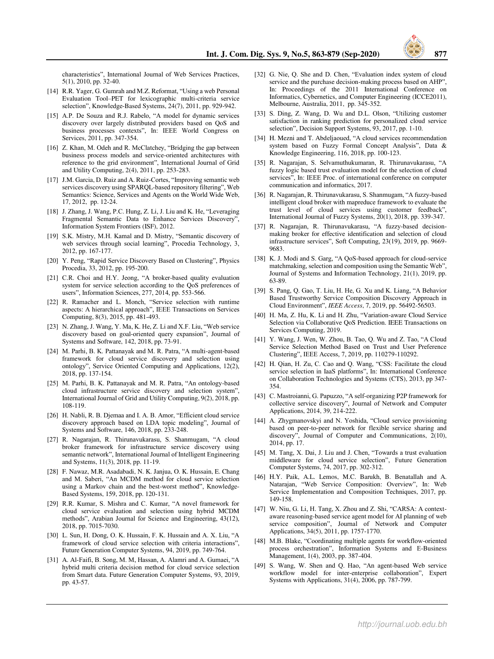characteristics", International Journal of Web Services Practices, 5(1), 2010, pp. 32-40.

- [14] R.R. Yager, G. Gumrah and M.Z. Reformat, "Using a web Personal Evaluation Tool–PET for lexicographic multi-criteria service selection", Knowledge-Based Systems, 24(7), 2011, pp. 929-942.
- [15] A.P. De Souza and R.J. Rabelo, "A model for dynamic services discovery over largely distributed providers based on QoS and business processes contexts", In: IEEE World Congress on Services, 2011, pp. 347-354.
- [16] Z. Khan, M. Odeh and R. McClatchey, "Bridging the gap between business process models and service-oriented architectures with reference to the grid environment", International Journal of Grid and Utility Computing, 2(4), 2011, pp. 253-283.
- [17] J.M. Garcia, D. Ruiz and A. Ruiz-Cortes, "Improving semantic web services discovery using SPARQL-based repository filtering", Web Semantics: Science, Services and Agents on the World Wide Web, 17, 2012, pp. 12-24.
- [18] J. Zhang, J. Wang, P.C. Hung, Z. Li, J. Liu and K. He, "Leveraging Fragmental Semantic Data to Enhance Services Discovery", Information System Frontiers (ISF), 2012.
- [19] S.K. Mistry, M.H. Kamal and D. Mistry, "Semantic discovery of web services through social learning", Procedia Technology, 3, 2012, pp. 167-177.
- [20] Y. Peng, "Rapid Service Discovery Based on Clustering", Physics Procedia, 33, 2012, pp. 195-200.
- [21] C.R. Choi and H.Y. Jeong, "A broker-based quality evaluation system for service selection according to the QoS preferences of users", Information Sciences, 277, 2014, pp. 553-566.
- [22] R. Ramacher and L. Monch, "Service selection with runtime aspects: A hierarchical approach", IEEE Transactions on Services Computing, 8(3), 2015, pp. 481-493.
- [23] N. Zhang, J. Wang, Y. Ma, K. He, Z. Li and X.F. Liu, "Web service discovery based on goal-oriented query expansion", Journal of Systems and Software, 142, 2018, pp. 73-91.
- [24] M. Parhi, B. K. Pattanayak and M. R. Patra, "A multi-agent-based framework for cloud service discovery and selection using ontology", Service Oriented Computing and Applications, 12(2), 2018, pp. 137-154.
- [25] M. Parhi, B. K. Pattanayak and M. R. Patra, "An ontology-based cloud infrastructure service discovery and selection system", International Journal of Grid and Utility Computing, 9(2), 2018, pp. 108-119.
- [26] H. Nabli, R. B. Djemaa and I. A. B. Amor, "Efficient cloud service discovery approach based on LDA topic modeling", Journal of Systems and Software, 146, 2018, pp. 233-248.
- [27] R. Nagarajan, R. Thirunavukarasu, S. Shanmugam, "A cloud broker framework for infrastructure service discovery using semantic network", International Journal of Intelligent Engineering and Systems, 11(3), 2018, pp. 11-19.
- [28] F. Nawaz, M.R. Asadabadi, N. K. Janjua, O. K. Hussain, E. Chang and M. Saberi, "An MCDM method for cloud service selection using a Markov chain and the best-worst method", Knowledge-Based Systems, 159, 2018, pp. 120-131.
- [29] R.R. Kumar, S. Mishra and C. Kumar, "A novel framework for cloud service evaluation and selection using hybrid MCDM methods", Arabian Journal for Science and Engineering, 43(12), 2018, pp. 7015-7030.
- [30] L. Sun, H. Dong, O. K. Hussain, F. K. Hussain and A. X. Liu, "A framework of cloud service selection with criteria interactions", Future Generation Computer Systems, 94, 2019, pp. 749-764.
- [31] A. Al-Faifi, B. Song, M. M, Hassan, A. Alamri and A. Gumaei, "A hybrid multi criteria decision method for cloud service selection from Smart data. Future Generation Computer Systems, 93, 2019, pp. 43-57.
- [32] G. Nie, Q. She and D. Chen, "Evaluation index system of cloud service and the purchase decision-making process based on AHP", In: Proceedings of the 2011 International Conference on Informatics, Cybernetics, and Computer Engineering (ICCE2011), Melbourne, Australia, 2011, pp. 345-352.
- [33] S. Ding, Z. Wang, D. Wu and D.L. Olson, "Utilizing customer satisfaction in ranking prediction for personalized cloud service selection", Decision Support Systems, 93, 2017, pp. 1-10.
- [34] H. Mezni and T. Abdeljaoued, "A cloud services recommendation system based on Fuzzy Formal Concept Analysis", Data & Knowledge Engineering, 116, 2018, pp. 100-123.
- [35] R. Nagarajan, S. Selvamuthukumaran, R. Thirunavukarasu, "A fuzzy logic based trust evaluation model for the selection of cloud services", In: IEEE Proc. of international conference on computer communication and informatics, 2017.
- [36] R. Nagarajan, R. Thirunavukarasu, S. Shanmugam, "A fuzzy-based intelligent cloud broker with mapreduce framework to evaluate the trust level of cloud services using customer feedback", International Journal of Fuzzy Systems, 20(1), 2018, pp. 339-347.
- [37] R. Nagarajan, R. Thirunavukarasu, "A fuzzy-based decisionmaking broker for effective identification and selection of cloud infrastructure services", Soft Computing, 23(19), 2019, pp. 9669- 9683.
- [38] K. J. Modi and S. Garg, "A QoS-based approach for cloud-service matchmaking, selection and composition using the Semantic Web", Journal of Systems and Information Technology, 21(1), 2019, pp. 63-89.
- [39] S. Pang, Q. Gao, T. Liu, H. He, G. Xu and K. Liang, "A Behavior Based Trustworthy Service Composition Discovery Approach in Cloud Environment", *IEEE Access*, 7, 2019, pp. 56492-56503.
- [40] H. Ma, Z. Hu, K. Li and H. Zhu, "Variation-aware Cloud Service Selection via Collaborative QoS Prediction. IEEE Transactions on Services Computing, 2019.
- [41] Y. Wang, J. Wen, W. Zhou, B. Tao, Q. Wu and Z. Tao, "A Cloud Service Selection Method Based on Trust and User Preference Clustering", IEEE Access, 7, 2019, pp. 110279-110292.
- [42] H. Qian, H. Zu, C. Cao and Q. Wang, "CSS: Facilitate the cloud service selection in IaaS platforms", In: International Conference on Collaboration Technologies and Systems (CTS), 2013, pp 347- 354.
- [43] C. Mastroianni, G. Papuzzo, "A self-organizing P2P framework for collective service discovery", Journal of Network and Computer Applications, 2014, 39, 214-222.
- [44] A. Zhygmanovskyi and N. Yoshida, "Cloud service provisioning based on peer-to-peer network for flexible service sharing and discovery", Journal of Computer and Communications, 2(10), 2014, pp. 17.
- [45] M. Tang, X. Dai, J. Liu and J. Chen, "Towards a trust evaluation middleware for cloud service selection", Future Generation Computer Systems, 74, 2017, pp. 302-312.
- [46] H.Y. Paik, A.L. Lemos, M.C. Barukh, B. Benatallah and A. Natarajan, "Web Service Composition: Overview", In: Web Service Implementation and Composition Techniques, 2017, pp. 149-158.
- [47] W. Niu, G. Li, H. Tang, X. Zhou and Z. Shi, "CARSA: A contextaware reasoning-based service agent model for AI planning of web service composition", Journal of Network and Computer Applications, 34(5), 2011, pp. 1757-1770.
- [48] M.B. Blake, "Coordinating multiple agents for workflow-oriented process orchestration", Information Systems and E-Business Management, 1(4), 2003, pp. 387-404.
- [49] S. Wang, W. Shen and Q. Hao, "An agent-based Web service workflow model for inter-enterprise collaboration", Expert Systems with Applications, 31(4), 2006, pp. 787-799.

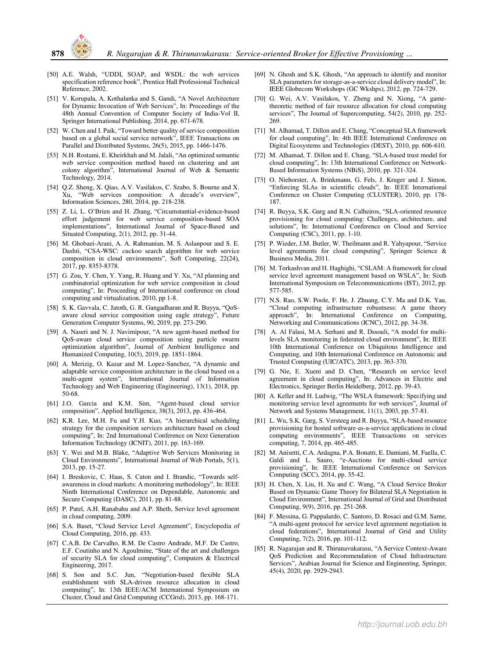

- [50] A.E. Walsh, "UDDI, SOAP, and WSDL: the web services specification reference book", Prentice Hall Professional Technical Reference, 2002.
- [51] V. Korupala, A. Kothalanka and S. Gandi, "A Novel Architecture for Dynamic Invocation of Web Services", In: Proceedings of the 48th Annual Convention of Computer Society of India-Vol II, Springer International Publishing, 2014, pp. 671-678.
- [52] W. Chen and I. Paik, "Toward better quality of service composition based on a global social service network", IEEE Transactions on Parallel and Distributed Systems, 26(5), 2015, pp. 1466-1476.
- [53] N.H. Rostami, E. Kheirkhah and M. Jalali, "An optimized semantic web service composition method based on clustering and ant colony algorithm", International Journal of Web & Semantic Technology, 2014.
- [54] O.Z. Sheng, X. Qiao, A.V. Vasilakos, C. Szabo, S. Bourne and X. Xu, "Web services composition: A decade's overview", Information Sciences, 280, 2014, pp. 218-238.
- [55] Z. Li, L. O'Brien and H. Zhang, "Circumstantial-evidence-based effort judgement for web service composition-based SOA implementations", International Journal of Space-Based and Situated Computing, 2(1), 2012, pp. 31-44.
- [56] M. Ghobaei-Arani, A. A. Rahmanian, M. S. Aslanpour and S. E. Dashti, "CSA-WSC: cuckoo search algorithm for web service composition in cloud environments", Soft Computing, 22(24), 2017, pp. 8353-8378.
- [57] G. Zou, Y. Chen, Y. Yang, R. Huang and Y. Xu, "AI planning and combinatorial optimization for web service composition in cloud computing", In: Proceeding of International conference on cloud computing and virtualization, 2010, pp 1-8.
- [58] S. K. Gavvala, C. Jatoth, G. R. Gangadharan and R. Buyya, "QoSaware cloud service composition using eagle strategy", Future Generation Computer Systems, 90, 2019, pp. 273-290.
- [59] A. Naseri and N. J. Navimipour, "A new agent-based method for QoS-aware cloud service composition using particle swarm optimization algorithm", Journal of Ambient Intelligence and Humanized Computing, 10(5), 2019, pp. 1851-1864.
- [60] A. Merizig, O. Kazar and M. Lopez-Sanchez, "A dynamic and adaptable service composition architecture in the cloud based on a multi-agent system", International Journal of Information Technology and Web Engineering (Engineering), 13(1), 2018, pp. 50-68.
- [61] J.O. Garcia and K.M. Sim, "Agent-based cloud service composition", Applied Intelligence, 38(3), 2013, pp. 436-464.
- [62] K.R. Lee, M.H. Fu and Y.H. Kuo, "A hierarchical scheduling strategy for the composition services architecture based on cloud computing", In: 2nd International Conference on Next Generation Information Technology (ICNIT), 2011, pp. 163-169.
- [63] Y. Wei and M.B. Blake, "Adaptive Web Services Monitoring in Cloud Environments", International Journal of Web Portals, 5(1), 2013, pp. 15-27.
- [64] I. Breskovic, C. Haas, S. Caton and I. Brandic, "Towards selfawareness in cloud markets: A monitoring methodology", In: IEEE Ninth International Conference on Dependable, Autonomic and Secure Computing (DASC), 2011, pp. 81-88.
- [65] P. Patel, A.H. Ranabahu and A.P. Sheth, Service level agreement in cloud computing, 2009.
- [66] S.A. Baset, "Cloud Service Level Agreement", Encyclopedia of Cloud Computing, 2016, pp. 433.
- [67] C.A.B. De Carvalho, R.M. De Castro Andrade, M.F. De Castro, E.F. Coutinho and N. Agoulmine, "State of the art and challenges of security SLA for cloud computing", Computers & Electrical Engineering, 2017.
- [68] S. Son and S.C. Jun, "Negotiation-based flexible SLA establishment with SLA-driven resource allocation in cloud computing", In: 13th IEEE/ACM International Symposium on Cluster, Cloud and Grid Computing (CCGrid), 2013, pp. 168-171.
- [69] N. Ghosh and S.K. Ghosh, "An approach to identify and monitor SLA parameters for storage-as-a-service cloud delivery model", In: IEEE Globecom Workshops (GC Wkshps), 2012, pp. 724-729.
- [70] G. Wei, A.V. Vasilakos, Y. Zheng and N. Xiong, "A gametheoretic method of fair resource allocation for cloud computing services". The Journal of Supercomputing, 54(2), 2010, pp. 252-269.
- [71] M. Alhamad, T. Dillon and E. Chang, "Conceptual SLA framework for cloud computing", In: 4th IEEE International Conference on Digital Ecosystems and Technologies (DEST), 2010, pp. 606-610.
- [72] M. Alhamad, T. Dillon and E. Chang, "SLA-based trust model for cloud computing", In: 13th International Conference on Network-Based Information Systems (NBiS), 2010, pp. 321-324.
- [73] O. Niehorster, A. Brinkmann, G. Fels, J. Kruger and J. Simon, "Enforcing SLAs in scientific clouds", In: IEEE International Conference on Cluster Computing (CLUSTER), 2010, pp. 178- 187.
- [74] R. Buyya, S.K. Garg and R.N. Calheiros, "SLA-oriented resource provisioning for cloud computing: Challenges, architecture, and solutions", In: International Conference on Cloud and Service Computing (CSC), 2011, pp. 1-10.
- [75] P. Wieder, J.M. Butler, W. Theilmann and R. Yahyapour, "Service level agreements for cloud computing", Springer Science & Business Media, 2011.
- [76] M. Torkashvan and H. Haghighi, "CSLAM: A framework for cloud service level agreement management based on WSLA", In: Sixth International Symposium on Telecommunications (IST), 2012, pp. 577-585.
- [77] N.S. Rao, S.W. Poole, F. He, J. Zhuang, C.Y. Ma and D.K. Yau, "Cloud computing infrastructure robustness: A game theory approach", In: International Conference on Computing, Networking and Communications (ICNC), 2012, pp. 34-38.
- [78] A. Al Falasi, M.A. Serhani and R. Dssouli, "A model for multilevels SLA monitoring in federated cloud environment", In: IEEE 10th International Conference on Ubiquitous Intelligence and Computing, and 10th International Conference on Autonomic and Trusted Computing (UIC/ATC), 2013, pp. 363-370.
- [79] G. Nie, E. Xueni and D. Chen, "Research on service level agreement in cloud computing", In: Advances in Electric and Electronics, Springer Berlin Heidelberg, 2012, pp. 39-43.
- [80] A. Keller and H. Ludwig, "The WSLA framework: Specifying and monitoring service level agreements for web services", Journal of Network and Systems Management, 11(1), 2003, pp. 57-81.
- [81] L. Wu, S.K. Garg, S. Versteeg and R. Buyya, "SLA-based resource provisioning for hosted software-as-a-service applications in cloud computing environments", IEEE Transactions on services computing, 7, 2014, pp. 465-485.
- [82] M. Anisetti, C.A. Ardagna, P.A. Bonatti, E. Damiani, M. Faella, C. Galdi and L. Sauro, "e-Auctions for multi-cloud service provisioning", In: IEEE International Conference on Services Computing (SCC), 2014, pp. 35-42.
- [83] H. Chen, X. Liu, H. Xu and C. Wang, "A Cloud Service Broker Based on Dynamic Game Theory for Bilateral SLA Negotiation in Cloud Environment", International Journal of Grid and Distributed Computing, 9(9), 2016, pp. 251-268.
- [84] F. Messina, G. Pappalardo, C. Santoro, D. Rosaci and G.M. Sarne, "A multi-agent protocol for service level agreement negotiation in cloud federations", International Journal of Grid and Utility Computing, 7(2), 2016, pp. 101-112.
- [85] R. Nagarajan and R. Thirunavukarasu, "A Service Context-Aware QoS Prediction and Recommendation of Cloud Infrastructure Services", Arabian Journal for Science and Engineering, Springer, 45(4), 2020, pp. 2929-2943.